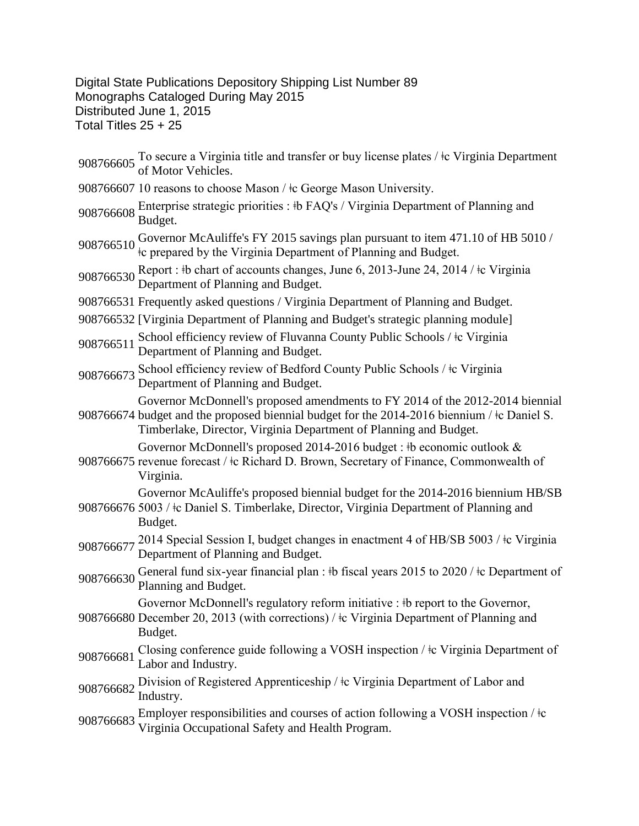## Digital State Publications Depository Shipping List Number 89 Monographs Cataloged During May 2015 Distributed June 1, 2015 Total Titles 25 + 25

908766605 To secure a Virginia title and transfer or buy license plates / ‡c Virginia Department of Motor Vehicles.

- 908766607 10 reasons to choose Mason /  $\pm c$  George Mason University.
- 908766608 Enterprise strategic priorities : #b FAQ's / Virginia Department of Planning and Budget.
- 908766510 Governor McAuliffe's FY 2015 savings plan pursuant to item 471.10 of HB 5010 /  $\pm c$  prepared by the Virginia Department of Planning and Budget.
- 908766530 Report : ‡b chart of accounts changes, June 6, 2013-June 24, 2014 / ‡c Virginia Department of Planning and Budget.
- 908766531 Frequently asked questions / Virginia Department of Planning and Budget.
- 908766532 [Virginia Department of Planning and Budget's strategic planning module]
- 908766511 School efficiency review of Fluvanna County Public Schools / ‡c Virginia Department of Planning and Budget.
- 908766673 School efficiency review of Bedford County Public Schools / ‡c Virginia Department of Planning and Budget.

Governor McDonnell's proposed amendments to FY 2014 of the 2012-2014 biennial

908766674 budget and the proposed biennial budget for the 2014-2016 biennium /  $\pm$ c Daniel S. Timberlake, Director, Virginia Department of Planning and Budget.

Governor McDonnell's proposed 2014-2016 budget : ‡b economic outlook &

908766675 revenue forecast / ǂc Richard D. Brown, Secretary of Finance, Commonwealth of Virginia.

Governor McAuliffe's proposed biennial budget for the 2014-2016 biennium HB/SB

- 908766676 5003 /  $\pm$ c Daniel S. Timberlake, Director, Virginia Department of Planning and Budget.
- 908766677 2014 Special Session I, budget changes in enactment 4 of HB/SB 5003 /  $\pm$ c Virginia Department of Planning and Budget.
- 908766630 General fund six-year financial plan : ‡b fiscal years 2015 to 2020 / ‡c Department of Planning and Budget.

Governor McDonnell's regulatory reform initiative : ‡b report to the Governor,

- 908766680 December 20, 2013 (with corrections) / ǂc Virginia Department of Planning and Budget.
- 908766681 Closing conference guide following a VOSH inspection /  $\frac{1}{2}$ c Virginia Department of Labor and Industry.
- 908766682 Division of Registered Apprenticeship /  $\pm c$  Virginia Department of Labor and Industry.
- 908766683 Employer responsibilities and courses of action following a VOSH inspection /  $\pm c$ Virginia Occupational Safety and Health Program.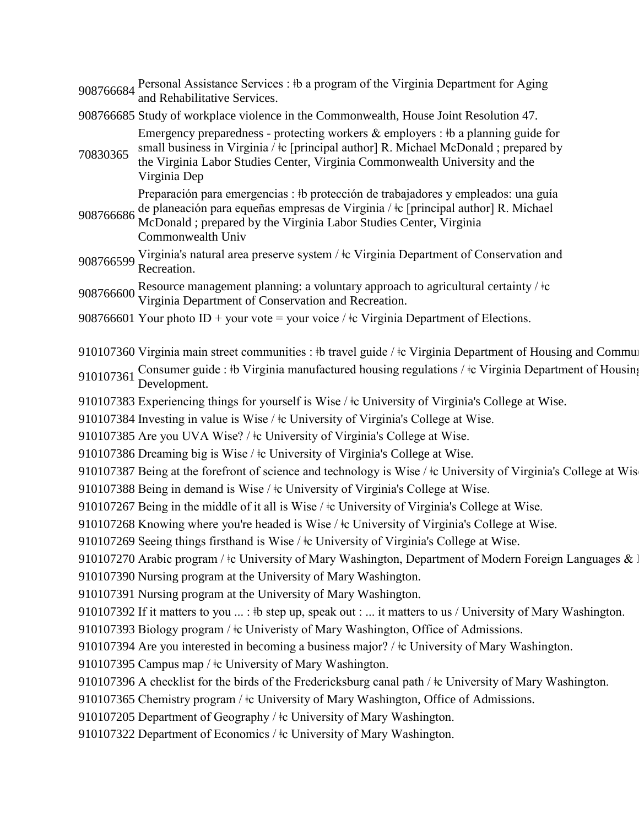908766684 Personal Assistance Services : ‡b a program of the Virginia Department for Aging and Rehabilitative Services.

908766685 Study of workplace violence in the Commonwealth, House Joint Resolution 47.

Emergency preparedness - protecting workers & employers : ‡b a planning guide for small business in Virginia /  $\pm c$  [principal author] R. Michael McDonald ; prepared by

70830365 the Virginia Labor Studies Center, Virginia Commonwealth University and the Virginia Dep

Preparación para emergencias : ǂb protección de trabajadores y empleados: una guía

- 908766686 de planeación para equeñas empresas de Virginia / ǂc [principal author] R. Michael McDonald ; prepared by the Virginia Labor Studies Center, Virginia Commonwealth Univ
- 908766599 Virginia's natural area preserve system / ‡c Virginia Department of Conservation and Recreation.

908766600 Resource management planning: a voluntary approach to agricultural certainty /  $\pm c$ <br>Virginia Department of Conservation and Recreation.

908766601 Your photo ID + your vote = your voice /  $\pm c$  Virginia Department of Elections.

910107360 Virginia main street communities : ‡b travel guide / ‡c Virginia Department of Housing and Community

910107361 Consumer guide : ‡b Virginia manufactured housing regulations / ‡c Virginia Department of Housing<br>Development.

910107383 Experiencing things for yourself is Wise /  $\pm c$  University of Virginia's College at Wise.

910107384 Investing in value is Wise /  $\pm$  University of Virginia's College at Wise.

910107385 Are you UVA Wise? /  $\pm$ c University of Virginia's College at Wise.

910107386 Dreaming big is Wise /  $\pm$ c University of Virginia's College at Wise.

910107387 Being at the forefront of science and technology is Wise /  $\pm$ c University of Virginia's College at Wis

910107388 Being in demand is Wise /  $\pm c$  University of Virginia's College at Wise.

910107267 Being in the middle of it all is Wise /  $\pm$ c University of Virginia's College at Wise.

910107268 Knowing where you're headed is Wise /  $\pm$ c University of Virginia's College at Wise.

910107269 Seeing things firsthand is Wise /  $\pm$ c University of Virginia's College at Wise.

910107270 Arabic program /  $\pm$ c University of Mary Washington, Department of Modern Foreign Languages & L 910107390 Nursing program at the University of Mary Washington.

910107391 Nursing program at the University of Mary Washington.

910107392 If it matters to you ... : \t step up, speak out : ... it matters to us / University of Mary Washington.

910107393 Biology program /  $\pm$ c Univeristy of Mary Washington, Office of Admissions.

910107394 Are you interested in becoming a business major? / ‡c University of Mary Washington.

910107395 Campus map /  $\pm c$  University of Mary Washington.

910107396 A checklist for the birds of the Fredericksburg canal path /  $\pm$ c University of Mary Washington.

910107365 Chemistry program /  $\pm$ c University of Mary Washington, Office of Admissions.

910107205 Department of Geography /  $\pm c$  University of Mary Washington.

910107322 Department of Economics /  $\pm c$  University of Mary Washington.